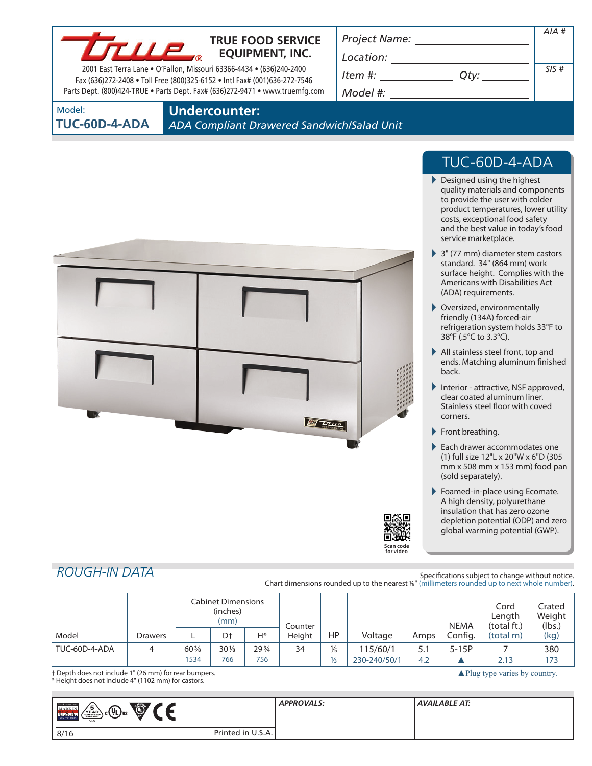

### **TRUE FOOD SERVICE EQUIPMENT, INC.**

2001 East Terra Lane • O'Fallon, Missouri 63366-4434 • (636)240-2400 Fax (636)272-2408 • Toll Free (800)325-6152 • Intl Fax# (001)636-272-7546 Parts Dept. (800)424-TRUE • Parts Dept. Fax# (636)272-9471 • www.truemfg.com *Project Name:*

*Model #:*

| Location:                |      |      |
|--------------------------|------|------|
| Item #:                  | Otv: | SIS# |
| $M \cap d = 1 \pm \cdot$ |      |      |

Model:

**TUC-60D-4-ADA**

**Undercounter:**

*ADA Compliant Drawered Sandwich/Salad Unit*



## TUC-60D-4-ADA

*AIA #*

- Designed using the highest quality materials and components to provide the user with colder product temperatures, lower utility costs, exceptional food safety and the best value in today's food service marketplace.
- ▶ 3" (77 mm) diameter stem castors standard. 34" (864 mm) work surface height. Complies with the Americans with Disabilities Act (ADA) requirements.
- Oversized, environmentally friendly (134A) forced-air refrigeration system holds 33°F to 38°F (.5°C to 3.3°C).
- All stainless steel front, top and ends. Matching aluminum finished back.
- Interior attractive, NSF approved, clear coated aluminum liner. Stainless steel floor with coved corners.
- Front breathing.
- Each drawer accommodates one (1) full size 12"L x 20"W x 6"D (305 mm x 508 mm x 153 mm) food pan (sold separately).
- Foamed-in-place using Ecomate. A high density, polyurethane insulation that has zero ozone depletion potential (ODP) and zero global warming potential (GWP).

▲Plug type varies by country.

### *ROUGH-IN DATA*

Specifications subject to change without notice. Chart dimensions rounded up to the nearest %" (millimeters rounded up to next whole number).

**Scan code for video**

|               |         | <b>Cabinet Dimensions</b><br>(inches)<br>(mm) |        | Counter         |        |               |              | <b>NEMA</b> | Cord<br>Length<br>(total ft.) | Crated<br>Weight<br>(lbs.) |      |
|---------------|---------|-----------------------------------------------|--------|-----------------|--------|---------------|--------------|-------------|-------------------------------|----------------------------|------|
| Model         | Drawers |                                               | D†     | $H^*$           | Height | HP            | Voltage      | Amps        | Config.                       | (total m)                  | (kg) |
| TUC-60D-4-ADA | 4       | $60\%$                                        | $30\%$ | $29\frac{3}{4}$ | 34     | $\frac{1}{5}$ | 115/60/1     |             | $5-15P$                       |                            | 380  |
|               |         | 1534                                          | 766    | 756             |        | $\frac{1}{3}$ | 230-240/50/1 | 4.2         |                               | 2.13                       | 173  |

† Depth does not include 1" (26 mm) for rear bumpers. \* Height does not include 4" (1102 mm) for castors.

| <b>THE REFERENCE</b><br>' '<br>$\bigoplus_{i=1}^{n}$<br>$\sqrt{\frac{5}{2}}$<br>$\epsilon_{\rm b}$ c $\rm Q_{us}$<br><b>MADE IN</b><br>$\bigcup$<br><b>SINCE 1945</b><br><b>USA</b> |                   | <b>APPROVALS:</b> | <b>AVAILABLE AT:</b> |
|-------------------------------------------------------------------------------------------------------------------------------------------------------------------------------------|-------------------|-------------------|----------------------|
| 8/16                                                                                                                                                                                | Printed in U.S.A. |                   |                      |